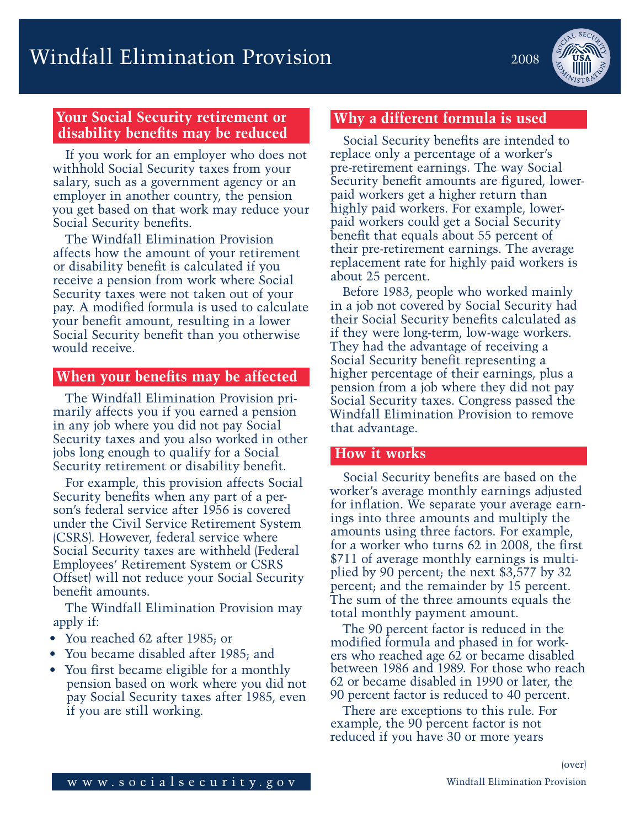# **Your Social Security retirement or disability benefits may be reduced**

If you work for an employer who does not withhold Social Security taxes from your salary, such as a government agency or an employer in another country, the pension you get based on that work may reduce your Social Security benefits.

The Windfall Elimination Provision affects how the amount of your retirement or disability benefit is calculated if you receive a pension from work where Social Security taxes were not taken out of your pay. A modified formula is used to calculate your benefit amount, resulting in a lower Social Security benefit than you otherwise would receive.

### **When your benefits may be affected**

The Windfall Elimination Provision primarily affects you if you earned a pension in any job where you did not pay Social Security taxes and you also worked in other jobs long enough to qualify for a Social Security retirement or disability benefit.

For example, this provision affects Social Security benefits when any part of a person's federal service after 1956 is covered under the Civil Service Retirement System (CSRS). However, federal service where Social Security taxes are withheld (Federal Employees' Retirement System or CSRS Offset) will not reduce your Social Security benefit amounts.

The Windfall Elimination Provision may apply if:

- You reached 62 after 1985; or
- You became disabled after 1985; and
- You first became eligible for a monthly pension based on work where you did not pay Social Security taxes after 1985, even if you are still working.

# **Why a different formula is used**

Social Security benefits are intended to replace only a percentage of a worker's pre-retirement earnings. The way Social Security benefit amounts are figured, lowerpaid workers get a higher return than highly paid workers. For example, lowerpaid workers could get a Social Security benefit that equals about 55 percent of their pre-retirement earnings. The average replacement rate for highly paid workers is about 25 percent.

Before 1983, people who worked mainly in a job not covered by Social Security had their Social Security benefits calculated as if they were long-term, low-wage workers. They had the advantage of receiving a Social Security benefit representing a higher percentage of their earnings, plus a pension from a job where they did not pay Social Security taxes. Congress passed the Windfall Elimination Provision to remove that advantage.

#### **How it works**

Social Security benefits are based on the worker's average monthly earnings adjusted for inflation. We separate your average earnings into three amounts and multiply the amounts using three factors. For example, for a worker who turns 62 in 2008, the first \$711 of average monthly earnings is multiplied by 90 percent; the next \$3,577 by 32 percent; and the remainder by 15 percent. The sum of the three amounts equals the total monthly payment amount.

The 90 percent factor is reduced in the modified formula and phased in for workers who reached age 62 or became disabled between 1986 and 1989. For those who reach 62 or became disabled in 1990 or later, the 90 percent factor is reduced to 40 percent.

There are exceptions to this rule. For example, the 90 percent factor is not reduced if you have 30 or more years